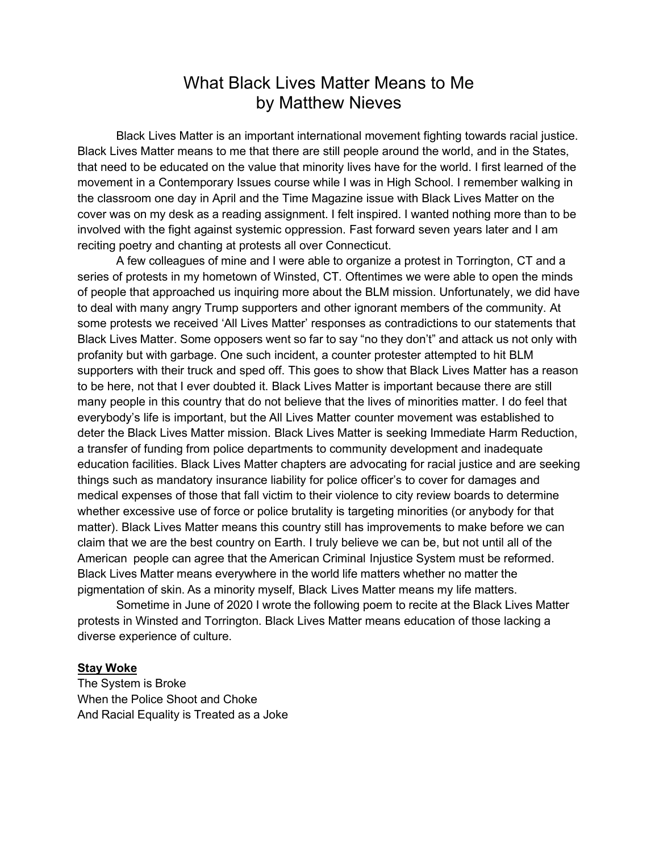## What Black Lives Matter Means to Me by Matthew Nieves

Black Lives Matter is an important international movement fighting towards racial justice. Black Lives Matter means to me that there are still people around the world, and in the States, that need to be educated on the value that minority lives have for the world. I first learned of the movement in a Contemporary Issues course while I was in High School. I remember walking in the classroom one day in April and the Time Magazine issue with Black Lives Matter on the cover was on my desk as a reading assignment. I felt inspired. I wanted nothing more than to be involved with the fight against systemic oppression. Fast forward seven years later and I am reciting poetry and chanting at protests all over Connecticut.

A few colleagues of mine and I were able to organize a protest in Torrington, CT and a series of protests in my hometown of Winsted, CT. Oftentimes we were able to open the minds of people that approached us inquiring more about the BLM mission. Unfortunately, we did have to deal with many angry Trump supporters and other ignorant members of the community. At some protests we received 'All Lives Matter' responses as contradictions to our statements that Black Lives Matter. Some opposers went so far to say "no they don't" and attack us not only with profanity but with garbage. One such incident, a counter protester attempted to hit BLM supporters with their truck and sped off. This goes to show that Black Lives Matter has a reason to be here, not that I ever doubted it. Black Lives Matter is important because there are still many people in this country that do not believe that the lives of minorities matter. I do feel that everybody's life is important, but the All Lives Matter counter movement was established to deter the Black Lives Matter mission. Black Lives Matter is seeking Immediate Harm Reduction, a transfer of funding from police departments to community development and inadequate education facilities. Black Lives Matter chapters are advocating for racial justice and are seeking things such as mandatory insurance liability for police officer's to cover for damages and medical expenses of those that fall victim to their violence to city review boards to determine whether excessive use of force or police brutality is targeting minorities (or anybody for that matter). Black Lives Matter means this country still has improvements to make before we can claim that we are the best country on Earth. I truly believe we can be, but not until all of the American people can agree that the American Criminal Injustice System must be reformed. Black Lives Matter means everywhere in the world life matters whether no matter the pigmentation of skin. As a minority myself, Black Lives Matter means my life matters.

Sometime in June of 2020 I wrote the following poem to recite at the Black Lives Matter protests in Winsted and Torrington. Black Lives Matter means education of those lacking a diverse experience of culture.

## **Stay Woke**

The System is Broke When the Police Shoot and Choke And Racial Equality is Treated as a Joke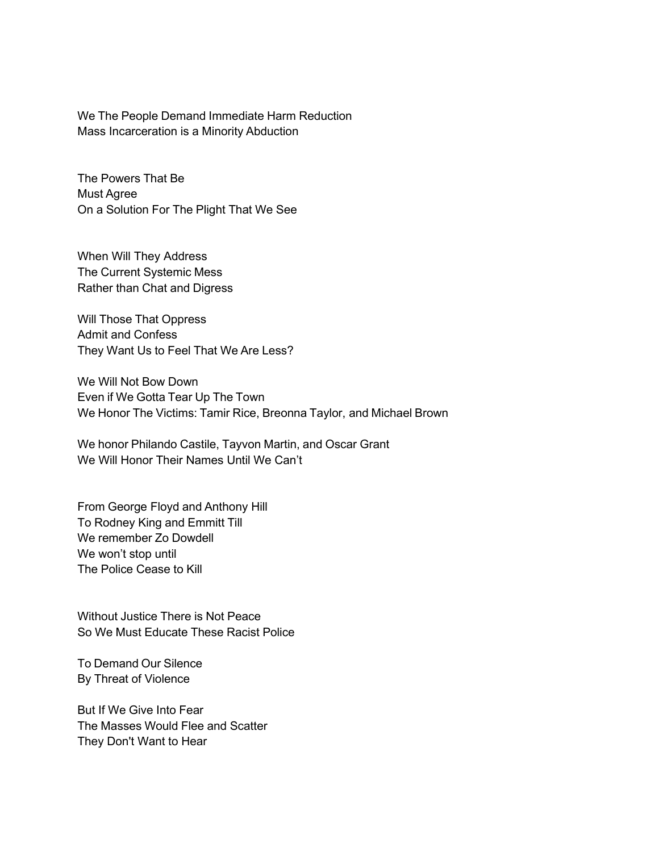We The People Demand Immediate Harm Reduction Mass Incarceration is a Minority Abduction

The Powers That Be Must Agree On a Solution For The Plight That We See

When Will They Address The Current Systemic Mess Rather than Chat and Digress

Will Those That Oppress Admit and Confess They Want Us to Feel That We Are Less?

We Will Not Bow Down Even if We Gotta Tear Up The Town We Honor The Victims: Tamir Rice, Breonna Taylor, and Michael Brown

We honor Philando Castile, Tayvon Martin, and Oscar Grant We Will Honor Their Names Until We Can't

From George Floyd and Anthony Hill To Rodney King and Emmitt Till We remember Zo Dowdell We won't stop until The Police Cease to Kill

Without Justice There is Not Peace So We Must Educate These Racist Police

To Demand Our Silence By Threat of Violence

But If We Give Into Fear The Masses Would Flee and Scatter They Don't Want to Hear